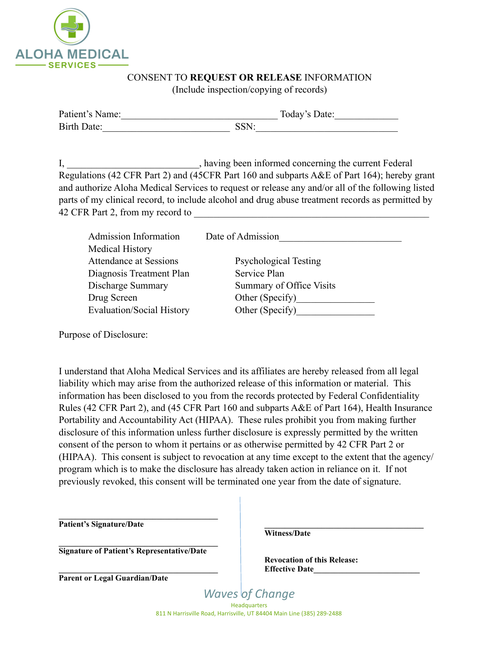

## CONSENT TO **REQUEST OR RELEASE** INFORMATION

(Include inspection/copying of records)

| Patient's Name: | Today's Date: |  |  |
|-----------------|---------------|--|--|
| Birth Date:     | SSN:          |  |  |

I, having been informed concerning the current Federal Regulations (42 CFR Part 2) and (45CFR Part 160 and subparts A&E of Part 164); hereby grant and authorize Aloha Medical Services to request or release any and/or all of the following listed parts of my clinical record, to include alcohol and drug abuse treatment records as permitted by 42 CFR Part 2, from my record to

| <b>Admission Information</b>     | Date of Admission            |  |
|----------------------------------|------------------------------|--|
| Medical History                  |                              |  |
| <b>Attendance at Sessions</b>    | <b>Psychological Testing</b> |  |
| Diagnosis Treatment Plan         | Service Plan                 |  |
| Discharge Summary                | Summary of Office Visits     |  |
| Drug Screen                      | Other (Specify)              |  |
| <b>Evaluation/Social History</b> | Other (Specify)              |  |
|                                  |                              |  |

Purpose of Disclosure:

I understand that Aloha Medical Services and its affiliates are hereby released from all legal liability which may arise from the authorized release of this information or material. This information has been disclosed to you from the records protected by Federal Confidentiality Rules (42 CFR Part 2), and (45 CFR Part 160 and subparts A&E of Part 164), Health Insurance Portability and Accountability Act (HIPAA). These rules prohibit you from making further disclosure of this information unless further disclosure is expressly permitted by the written consent of the person to whom it pertains or as otherwise permitted by 42 CFR Part 2 or (HIPAA). This consent is subject to revocation at any time except to the extent that the agency/ program which is to make the disclosure has already taken action in reliance on it. If not previously revoked, this consent will be terminated one year from the date of signature.

**Patient's Signature/Date** 

**Signature of Patient's Representative/Date** 

**Parent or Legal Guardian/Date** 

**Witness/Date** 

**Revocation of this Release: Effective Date\_\_\_\_\_\_\_\_\_\_\_\_\_\_\_\_\_\_\_\_\_\_\_\_\_\_** 

 $\mathcal{L} = \{ \mathcal{L} \}$